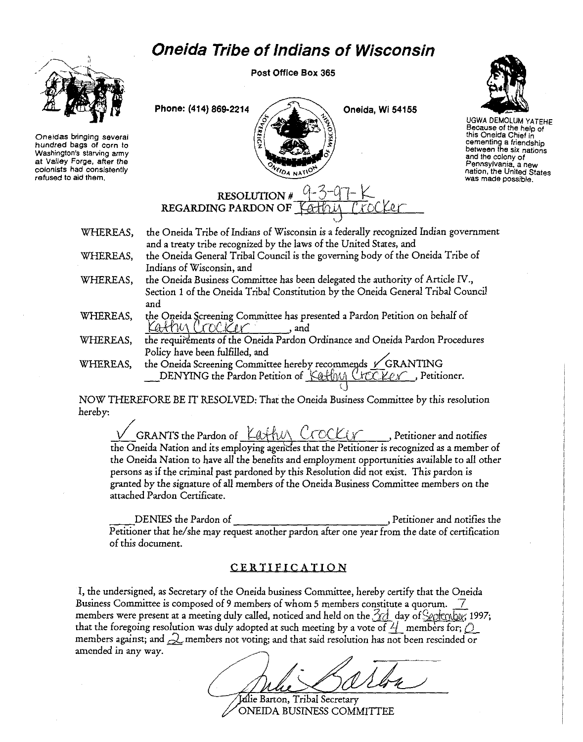## **Oneida Tribe of Indians of Wisconsin**



**Oneidas bringing several hundred bags of corn to Washington's starving army at Valley Forge, after the colonists had consistently refused to aid them.** 

Post Office Box 365

Phone: (414) 869-2214  $\bigcup_{\Delta}$  Oneida, Wi 54155



UGWA DEMOLUM YATEHE **Because of the help of this Oneida Chief in cementing a friendship between the six nations and the colony of Pennsylvania, a new nation, the United States was made possible.** 

RESOLUTION # 9-3-9<br>REGARDING PARDON OF *J*CH<sub>LU</sub>

- WHEREAS, the Oneida Tribe of Indians of Wisconsin is a federally recognized Indian government and a treaty tribe recognized by the laws of the United States, and WHEREAS, the Oneida General Tribal Council is the governing body of the Oneida Tribe of
- Indians of Wisconsin, and WHEREAS, the Oneida Business Committee has been delegated the authority of Article IV.,
- Section 1 of the Oneida Tribal Constitution by the Oneida General Tribal Council and
- WHEREAS, the Oneida Screening Committee has presented a Pardon Petition on behalf of Kathy Crocker , and
- WHEREAS, the requirements of the Oneida Pardon Ordinance and Oneida Pardon Procedures Policy have been fulfilled, and /
- WHEREAS, the Oneida Screening Committee hereby recommends *V\_GRANTING* DENYING the Pardon Petition of Kathy Crocker , Petitioner.

NOW THEREFORE BE IT RESOLVED: That the Oneida Business Committee by this resolution hereby:

 $\sqrt{\phantom{a}}$  GRANTS the Pardon of  $\frac{\sqrt{a}\pm b\sqrt{b}}{c\sqrt{a}}$  ( $\sqrt{a\sqrt{b}}$  , Petitioner and notifies the Oneida Nation and its employing agerides that the Petitioner is recognized as a member of the Oneida Nation to have ali the benefits and employment opportunities available to all other persons as *if* the *criminal* past pardoned by this Resolution did not exist. This pardon *is*  granted by the signature of ali members of the Oneida Business Committee members on the attached Pardon Certificate.

DENIES the Pardon of , Petitioner and notifies the Petitioner that he/she may request another pardon after one year from the date of certification of this document.

## CERTIFICATION

I, the undersigned, as Secretary of the Oneida business Committee, hereby certify that the Oneida Business Committee is composed of 9 members of whom 5 members constitute a quorum. 2 members were present at a meeting duly called, noticed and held on the  $\frac{3}{4}$  day of  $\frac{6}{8}$  exchanges; 1997; that the foregoing resolution was duly adopted at such meeting by a vote of  $\frac{1}{4}$  members for;  $\hat{Q}$ members against; and  $\mathcal Q$  members not voting; and that said resolution has not been rescinded or amended in any way.

Ialie Barton, Tribal Secretary ONEIDA BUSINESS COMMITTEE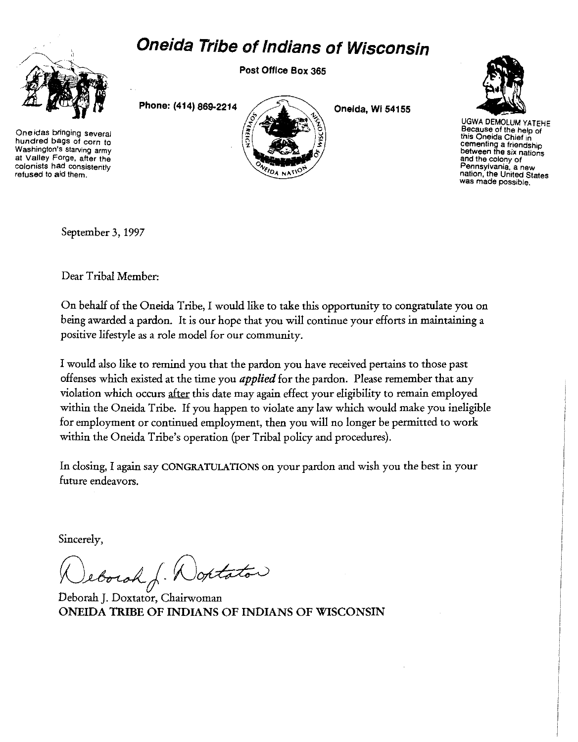## **Oneida Tribe of Indians of Wisconsin**



**Oneidas bringing several hundred bags of corn to Washington's starving army at Valley Forge, after the colonists had consistently refused to aid them.** 

Post Office Box 365

Phone: (414) 869-2214

Oneida, Wi 54155



UGWA DEMOLUM YATEHE **Because of the help of** this Oneida Chief in **cementing a friendship between the six nations and the colony of Pennsylvania, a new nation, the United States was made possible.** 

September 3, 1997

Dear Tribal Member:

On behalf of the Oneida Tribe, I would like to take this opportunity to congratulate you on being awarded a pardon. It is our hope that you will continue your efforts in maintaining a positive lifestyle as a role model for our community.

I would also like to remind you that the pardon you have received pertains to those past offenses which existed at the time you *applied* for the pardon. Please remember that any violation which occurs after this date may again effect your eligibility to remain employed within the Oneida Tribe. If you happen to violate any law which would make you ineligible for employment or continued employment, then you will no longer be permitted to work within the Oneida Tribe's operation (per Tribal policy and procedures).

In closing, I again say CONGRATULATIONS on your pardon and wish you the best in your future endeavors.

Sincerely,

Jeborah J. Wontator

Deborah J. Doxtator, Chairwoman ONEIDA TRIBE OF INDIANS OF INDIANS OF WISCONSIN